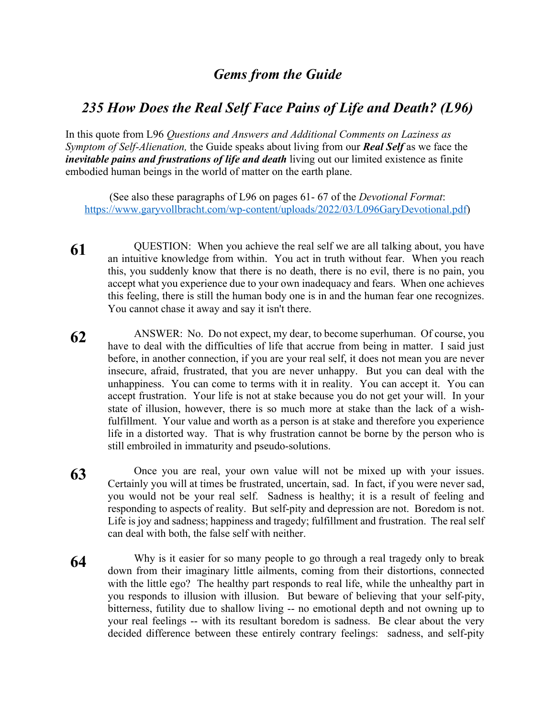## *Gems from the Guide*

## *235 How Does the Real Self Face Pains of Life and Death? (L96)*

In this quote from L96 *Questions and Answers and Additional Comments on Laziness as Symptom of Self-Alienation,* the Guide speaks about living from our *Real Self* as we face the *inevitable pains and frustrations of life and death* living out our limited existence as finite embodied human beings in the world of matter on the earth plane.

(See also these paragraphs of L96 on pages 61- 67 of the *Devotional Format*: https://www.garyvollbracht.com/wp-content/uploads/2022/03/L096GaryDevotional.pdf)

- **61** QUESTION: When you achieve the real self we are all talking about, you have an intuitive knowledge from within. You act in truth without fear. When you reach this, you suddenly know that there is no death, there is no evil, there is no pain, you accept what you experience due to your own inadequacy and fears. When one achieves this feeling, there is still the human body one is in and the human fear one recognizes. You cannot chase it away and say it isn't there.
- **62** ANSWER: No. Do not expect, my dear, to become superhuman. Of course, you have to deal with the difficulties of life that accrue from being in matter. I said just before, in another connection, if you are your real self, it does not mean you are never insecure, afraid, frustrated, that you are never unhappy. But you can deal with the unhappiness. You can come to terms with it in reality. You can accept it. You can accept frustration. Your life is not at stake because you do not get your will. In your state of illusion, however, there is so much more at stake than the lack of a wishfulfillment. Your value and worth as a person is at stake and therefore you experience life in a distorted way. That is why frustration cannot be borne by the person who is still embroiled in immaturity and pseudo-solutions.
- **63** Once you are real, your own value will not be mixed up with your issues. Certainly you will at times be frustrated, uncertain, sad. In fact, if you were never sad, you would not be your real self. Sadness is healthy; it is a result of feeling and responding to aspects of reality. But self-pity and depression are not. Boredom is not. Life is joy and sadness; happiness and tragedy; fulfillment and frustration. The real self can deal with both, the false self with neither.
- **64** Why is it easier for so many people to go through a real tragedy only to break down from their imaginary little ailments, coming from their distortions, connected with the little ego? The healthy part responds to real life, while the unhealthy part in you responds to illusion with illusion. But beware of believing that your self-pity, bitterness, futility due to shallow living -- no emotional depth and not owning up to your real feelings -- with its resultant boredom is sadness. Be clear about the very decided difference between these entirely contrary feelings: sadness, and self-pity